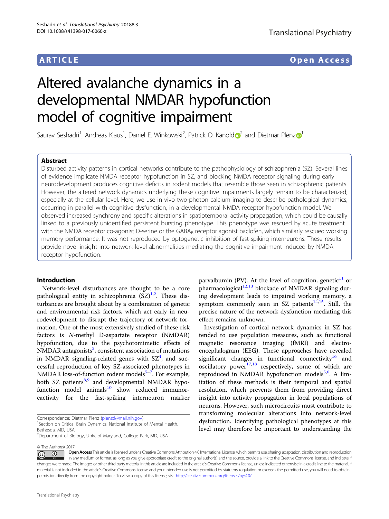## ARTICLE Open Access

# Altered avalanche dynamics in a developmental NMDAR hypofunction model of cognitive impairment

Saurav Sesha[d](http://orcid.org/0000-0002-7529-5435)ri<sup>1</sup>, Andreas Klaus<sup>1</sup>, Daniel E. Winkowski<sup>[2](http://orcid.org/0000-0002-7529-5435)</sup>, Patrick O. Kanold $\mathbf{C}^2$  and Dietmar Plen[z](http://orcid.org/0000-0002-0008-3657) $\mathbf{C}^1$  $\mathbf{C}^1$ 

### Abstract

Disturbed activity patterns in cortical networks contribute to the pathophysiology of schizophrenia (SZ). Several lines of evidence implicate NMDA receptor hypofunction in SZ, and blocking NMDA receptor signaling during early neurodevelopment produces cognitive deficits in rodent models that resemble those seen in schizophrenic patients. However, the altered network dynamics underlying these cognitive impairments largely remain to be characterized, especially at the cellular level. Here, we use in vivo two-photon calcium imaging to describe pathological dynamics, occurring in parallel with cognitive dysfunction, in a developmental NMDA receptor hypofunction model. We observed increased synchrony and specific alterations in spatiotemporal activity propagation, which could be causally linked to a previously unidentified persistent bursting phenotype. This phenotype was rescued by acute treatment with the NMDA receptor co-agonist D-serine or the GABA<sub>B</sub> receptor agonist baclofen, which similarly rescued working memory performance. It was not reproduced by optogenetic inhibition of fast-spiking interneurons. These results provide novel insight into network-level abnormalities mediating the cognitive impairment induced by NMDA receptor hypofunction.

#### Introduction

Network-level disturbances are thought to be a core pathological entity in schizophrenia (SZ)<sup>1,2</sup>. These disturbances are brought about by a combination of genetic and environmental risk factors, which act early in neurodevelopment to disrupt the trajectory of network formation. One of the most extensively studied of these risk factors is N-methyl D-aspartate receptor (NMDAR) hypofunction, due to the psychotomimetic effects of NMDAR antagonists<sup>[3](#page-10-0)</sup>, consistent association of mutations in NMDAR signaling-related genes with  $SZ<sup>4</sup>$  $SZ<sup>4</sup>$  $SZ<sup>4</sup>$ , and successful reproduction of key SZ-associated phenotypes in NMDAR loss-of-function rodent models<sup>[5](#page-10-0)-[7](#page-10-0)</sup>. For example, both SZ patients $8.9$  and developmental NMDAR hypofunction model animals $10$  show reduced immunoreactivity for the fast-spiking interneuron marker

© The Author(s) 2017

parvalbumin (PV). At the level of cognition, genetic $11$  or  $p$ harmacological<sup>[12,13](#page-10-0)</sup> blockade of NMDAR signaling during development leads to impaired working memory, a symptom commonly seen in SZ patients $14,15$ . Still, the precise nature of the network dysfunction mediating this effect remains unknown.

Investigation of cortical network dynamics in SZ has tended to use population measures, such as functional magnetic resonance imaging (fMRI) and electroencephalogram (EEG). These approaches have revealed significant changes in functional connectivity<sup>[16](#page-10-0)</sup> and oscillatory power $17,18$  respectively, some of which are reproduced in NMDAR hypofunction models<sup>5,[6](#page-10-0)</sup>. A limitation of these methods is their temporal and spatial resolution, which prevents them from providing direct insight into activity propagation in local populations of neurons. However, such microcircuits must contribute to transforming molecular alterations into network-level dysfunction. Identifying pathological phenotypes at this level may therefore be important to understanding the

Correspondence: Dietmar Plenz [\(plenzd@mail.nih.gov\)](mailto:plenzd@mail.nih.gov) <sup>1</sup>

<sup>&</sup>lt;sup>1</sup>Section on Critical Brain Dynamics, National Institute of Mental Health, Bethesda, MD, USA

<sup>&</sup>lt;sup>2</sup>Department of Biology, Univ. of Maryland, College Park, MD, USA

Open Access This article is licensed under a Creative Commons Attribution 4.0 International License, which permits use, sharing, adaptation, distribution and reproduction  $\odot$   $\odot$ in any medium or format, as long as you give appropriate credit to the original author(s) and the source, provide a link to the Creative Commons license, and indicate if changes were made. The images or other third party material in this article are included in the article's Creative Commons license, unless indicated otherwise in a credit line to the material. If material is not included in the article's Creative Commons license and your intended use is not permitted by statutory regulation or exceeds the permitted use, you will need to obtain permission directly from the copyright holder. To view a copy of this license, visit <http://creativecommons.org/licenses/by/4.0/>.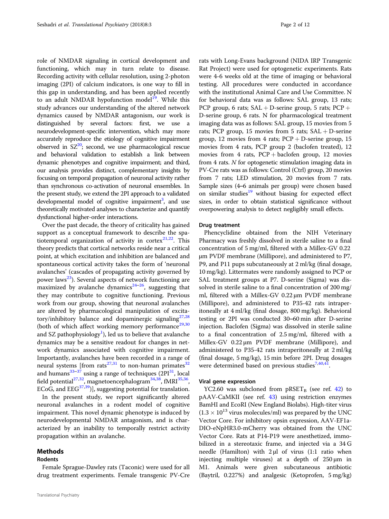role of NMDAR signaling in cortical development and functioning, which may in turn relate to disease. Recording activity with cellular resolution, using 2-photon imaging (2PI) of calcium indicators, is one way to fill in this gap in understanding, and has been applied recently to an adult NMDAR hypofunction model<sup>[19](#page-10-0)</sup>. While this study advances our understanding of the altered network dynamics caused by NMDAR antagonism, our work is distinguished by several factors: first, we use a neurodevelopment-specific intervention, which may more accurately reproduce the etiology of cognitive impairment observed in  $SZ^{20}$ ; second, we use pharmacological rescue and behavioral validation to establish a link between dynamic phenotypes and cognitive impairment; and third, our analysis provides distinct, complementary insights by focusing on temporal propagation of neuronal activity rather than synchronous co-activation of neuronal ensembles. In the present study, we extend the 2PI approach to a validated developmental model of cognitive impairment<sup>3</sup>, and use theoretically motivated analyses to characterize and quantify dysfunctional higher-order interactions.

Over the past decade, the theory of criticality has gained support as a conceptual framework to describe the spatiotemporal organization of activity in cortex $2^{1,22}$ . This theory predicts that cortical networks reside near a critical point, at which excitation and inhibition are balanced and spontaneous cortical activity takes the form of 'neuronal avalanches' (cascades of propagating activity governed by power laws<sup>23</sup>). Several aspects of network functioning are maximized by avalanche dynamics<sup>24–26</sup>, suggesting that they may contribute to cognitive functioning. Previous work from our group, showing that neuronal avalanches are altered by pharmacological manipulation of excitatory/inhibitory balance and dopaminergic signaling $27,28$ (both of which affect working memory performance<sup>[29,30](#page-10-0)</sup> and SZ pathophysiology<sup>[1](#page-10-0)</sup>), led us to believe that avalanche dynamics may be a sensitive readout for changes in network dynamics associated with cognitive impairment. Importantly, avalanches have been recorded in a range of neural systems [from rats<sup>[27,31](#page-10-0)</sup> to non-human primates<sup>[32](#page-10-0)</sup> and humans $^{33-37}$  $^{33-37}$  $^{33-37}$  $^{33-37}$  $^{33-37}$  using a range of techniques (2PI $^{31}$ , local field potential<sup>27,32</sup>, magnetoencephalogram<sup>34,38</sup>, fMRI<sup>35,36</sup>, ECoG, and EEG<sup>[37](#page-10-0)[,39](#page-11-0)</sup>)], suggesting potential for translation.

In the present study, we report significantly altered neuronal avalanches in a rodent model of cognitive impairment. This novel dynamic phenotype is induced by neurodevelopmental NMDAR antagonism, and is characterized by an inability to temporally restrict activity propagation within an avalanche.

Female Sprague-Dawley rats (Taconic) were used for all drug treatment experiments. Female transgenic PV-Cre

#### Methods

#### Rodents

rats with Long-Evans background (NIDA IRP Transgenic Rat Project) were used for optogenetic experiments. Rats were 4-6 weeks old at the time of imaging or behavioral testing. All procedures were conducted in accordance with the institutional Animal Care and Use Committee. N for behavioral data was as follows: SAL group, 13 rats; PCP group, 6 rats;  $SAL + D$ -serine group, 5 rats;  $PCP +$ D-serine group, 6 rats. N for pharmacological treatment imaging data was as follows: SAL group, 15 movies from 5 rats; PCP group, 15 movies from 5 rats;  $SAL + D$ -serine group, 12 movies from 4 rats;  $PCP + D$ -serine group, 15 movies from 4 rats, PCP group 2 (baclofen treated), 12 movies from 4 rats,  $PCP +$  baclofen group, 12 movies from 4 rats. N for optogenetic stimulation imaging data in PV-Cre rats was as follows: Control (Ctrl) group, 20 movies from 7 rats; LED stimulation, 20 movies from 7 rats. Sample sizes (4–6 animals per group) were chosen based on similar studies<sup>[19](#page-10-0)</sup> without biasing for expected effect sizes, in order to obtain statistical significance without overpowering analysis to detect negligibly small effects.

#### Drug treatment

Phencyclidine obtained from the NIH Veterinary Pharmacy was freshly dissolved in sterile saline to a final concentration of 5 mg/ml, filtered with a Millex-GV 0.22 µm PVDF membrane (Millipore), and administered to P7, P9, and P11 pups subcutaneously at 2 ml/kg (final dosage, 10 mg/kg). Littermates were randomly assigned to PCP or SAL treatment groups at P7. D-serine (Sigma) was dissolved in sterile saline to a final concentration of 200 mg/ ml, filtered with a Millex-GV 0.22 µm PVDF membrane (Millipore), and administered to P35-42 rats intraperitoneally at 4 ml/kg (final dosage, 800 mg/kg). Behavioral testing or 2PI was conducted 30–60 min after D-serine injection. Baclofen (Sigma) was dissolved in sterile saline to a final concentration of 2.5 mg/ml, filtered with a Millex-GV 0.22 µm PVDF membrane (Millipore), and administered to P35-42 rats intraperitoneally at 2 ml/kg (final dosage, 5 mg/kg), 15 min before 2PI. Drug dosages were determined based on previous studies<sup>[7,](#page-10-0)40,41</sup>.

#### Viral gene expression

YC2.60 was subcloned from  $pRSET_B$  (see ref. [42](#page-11-0)) to pAAV-CaMKII (see ref. [43](#page-11-0)) using restriction enzymes BamHI and EcoRI (New England Biolabs). High-titer virus  $(1.3 \times 10^{13}$  virus molecules/ml) was prepared by the UNC Vector Core. For inhibitory opsin expression, AAV-EF1a-DIO-eNpHR3.0-mCherry was obtained from the UNC Vector Core. Rats at P14-P19 were anesthetized, immobilized in a stereotaxic frame, and injected via a 34 G needle (Hamilton) with  $2 \mu l$  of virus (1:1 ratio when injecting multiple viruses) at a depth of 250 µm in M1. Animals were given subcutaneous antibiotic (Baytril, 0.227%) and analgesic (Ketoprofen, 5 mg/kg)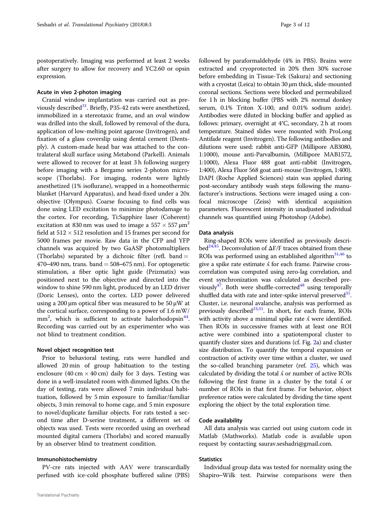postoperatively. Imaging was performed at least 2 weeks after surgery to allow for recovery and YC2.60 or opsin expression.

#### Acute in vivo 2-photon imaging

Cranial window implantation was carried out as previously described $31$ . Briefly, P35-42 rats were anesthetized, immobilized in a stereotaxic frame, and an oval window was drilled into the skull, followed by removal of the dura, application of low-melting point agarose (Invitrogen), and fixation of a glass coverslip using dental cement (Dentsply). A custom-made head bar was attached to the contralateral skull surface using Metabond (Parkell). Animals were allowed to recover for at least 3 h following surgery before imaging with a Bergamo series 2-photon microscope (Thorlabs). For imaging, rodents were lightly anesthetized (1% isoflurane), wrapped in a homeothermic blanket (Harvard Apparatus), and head-fixed under a 20x objective (Olympus). Coarse focusing to find cells was done using LED excitation to minimize photodamage to the cortex. For recording, Ti:Sapphire laser (Coherent) excitation at 830 nm was used to image a  $557 \times 557 \,\mathrm{\mu m}^2$ field at  $512 \times 512$  resolution and 15 frames per second for 5000 frames per movie. Raw data in the CFP and YFP channels was acquired by two GaASP photomultipliers (Thorlabs) separated by a dichroic filter (refl. band  $=$ 470–490 nm, trans. band  $=$  508–675 nm). For optogenetic stimulation, a fiber optic light guide (Prizmatix) was positioned next to the objective and directed into the window to shine 590 nm light, produced by an LED driver (Doric Lenses), onto the cortex. LED power delivered using a 200  $\mu$ m optical fiber was measured to be 50  $\mu$ W at the cortical surface, corresponding to a power of 1.6 mW/ mm<sup>2</sup>, which is sufficient to activate halorhodopsin<sup>[44](#page-11-0)</sup>. Recording was carried out by an experimenter who was not blind to treatment condition.

#### Novel object recognition test

Prior to behavioral testing, rats were handled and allowed 20 min of group habituation to the testing enclosure (40 cm  $\times$  40 cm) daily for 3 days. Testing was done in a well-insulated room with dimmed lights. On the day of testing, rats were allowed 7 min individual habituation, followed by 5 min exposure to familiar/familiar objects, 3 min removal to home cage, and 5 min exposure to novel/duplicate familiar objects. For rats tested a second time after D-serine treatment, a different set of objects was used. Tests were recorded using an overhead mounted digital camera (Thorlabs) and scored manually by an observer blind to treatment condition.

#### Immunohistochemistry

PV-cre rats injected with AAV were transcardially perfused with ice-cold phosphate buffered saline (PBS)

followed by paraformaldehyde (4% in PBS). Brains were extracted and cryoprotected in 20% then 30% sucrose before embedding in Tissue-Tek (Sakura) and sectioning with a cryostat (Leica) to obtain 30 µm thick, slide-mounted coronal sections. Sections were blocked and permeabilized for 1 h in blocking buffer (PBS with 2% normal donkey serum, 0.1% Triton X-100, and 0.01% sodium azide). Antibodies were diluted in blocking buffer and applied as follows: primary, overnight at 4°C, secondary, 2 h at room temperature. Stained slides were mounted with ProLong Antifade reagent (Invitrogen). The following antibodies and dilutions were used: rabbit anti-GFP (Millipore AB3080, 1:1000), mouse anti-Parvalbumin, (Millipore MAB1572, 1:1000), Alexa Fluor 488 goat anti-rabbit (Invitrogen, 1:400), Alexa Fluor 568 goat anti-mouse (Invitrogen, 1:400). DAPI (Roche Applied Sciences) stain was applied during post-secondary antibody wash steps following the manufacturer's instructions. Sections were imaged using a confocal microscope (Zeiss) with identical acquisition parameters. Fluorescent intensity in unadjusted individual channels was quantified using Photoshop (Adobe).

#### Data analysis

Ring-shaped ROIs were identified as previously described<sup>24,45</sup>. Deconvolution of  $\Delta F/F$  traces obtained from these ROIs was performed using an established algorithm $31,46$  $31,46$  to give a spike rate estimate ʎ for each frame. Pairwise crosscorrelation was computed using zero-lag correlation, and event synchronization was calculated as described previously<sup>47</sup>. Both were shuffle-corrected<sup>48</sup> using temporally shuffled data with rate and inter-spike interval preserved $31$ . Cluster, i.e. neuronal avalanche, analysis was performed as previously described<sup>23,31</sup>. In short, for each frame, ROIs with activity above a minimal spike rate  $\Lambda$  were identified. Then ROIs in successive frames with at least one ROI active were combined into a spatiotemporal cluster to quantify cluster sizes and durations (cf. Fig. [2](#page-5-0)a) and cluster size distribution. To quantify the temporal expansion or contraction of activity over time within a cluster, we used the so-called branching parameter (ref. [25](#page-10-0)), which was calculated by dividing the total  $\Lambda$  or number of active ROIs following the first frame in a cluster by the total  $\Lambda$  or number of ROIs in that first frame. For behavior, object preference ratios were calculated by dividing the time spent exploring the object by the total exploration time.

#### Code availability

All data analysis was carried out using custom code in Matlab (Mathworks). Matlab code is available upon request by contacting saurav.seshadri@gmail.com.

#### **Statistics**

Individual group data was tested for normality using the Shapiro–Wilk test. Pairwise comparisons were then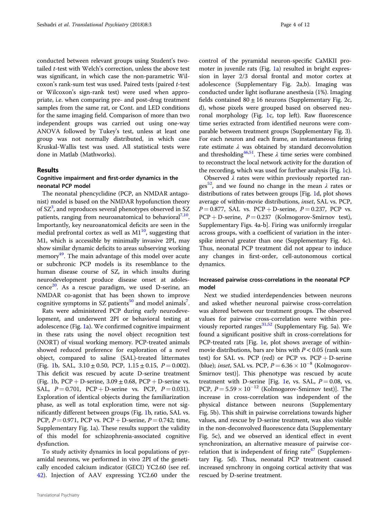conducted between relevant groups using Student's twotailed t-test with Welch's correction, unless the above test was significant, in which case the non-parametric Wilcoxon's rank-sum test was used. Paired tests (paired t-test or Wilcoxon's sign-rank test) were used when appropriate, i.e. when comparing pre- and post-drug treatment samples from the same rat, or Cont. and LED conditions for the same imaging field. Comparison of more than two independent groups was carried out using one-way ANOVA followed by Tukey's test, unless at least one group was not normally distributed, in which case Kruskal-Wallis test was used. All statistical tests were done in Matlab (Mathworks).

#### Results

#### Cognitive impairment and first-order dynamics in the neonatal PCP model

The neonatal phencyclidine (PCP, an NMDAR antagonist) model is based on the NMDAR hypofunction theory of  $SZ^3$ , and reproduces several phenotypes observed in SZ patients, ranging from neuroanatomical to behavioral $7,10$ . Importantly, key neuroanatomical deficits are seen in the medial prefrontal cortex as well as  $M1^{10}$  $M1^{10}$  $M1^{10}$ , suggesting that M1, which is accessible by minimally invasive 2PI, may show similar dynamic deficits to areas subserving working memory $49$ . The main advantage of this model over acute or subchronic PCP models is its resemblance to the human disease course of SZ, in which insults during neurodevelopment produce disease onset at adoles $cence<sup>20</sup>$ . As a rescue paradigm, we used D-serine, an NMDAR co-agonist that has been shown to improve cognitive symptoms in SZ patients $^{50}$  $^{50}$  $^{50}$  and model animals $^7\!$  $^7\!$  $^7\!$ .

Rats were administered PCP during early neurodevelopment, and underwent 2PI or behavioral testing at adolescence (Fig. [1a](#page-4-0)). We confirmed cognitive impairment in these rats using the novel object recognition test (NORT) of visual working memory. PCP-treated animals showed reduced preference for exploration of a novel object, compared to saline (SAL)-treated littermates (Fig. [1b](#page-4-0), SAL,  $3.10 \pm 0.50$ , PCP,  $1.15 \pm 0.15$ ,  $P = 0.002$ ). This deficit was rescued by acute D-serine treatment (Fig. [1b](#page-4-0), PCP + D-serine,  $3.09 \pm 0.68$ , PCP + D-serine vs. SAL,  $P = 0.701$ , PCP + D-serine vs. PCP,  $P = 0.031$ ). Exploration of identical objects during the familiarization phase, as well as total exploration time, were not significantly different between groups (Fig. [1](#page-4-0)b, ratio, SAL vs. PCP,  $P = 0.971$ , PCP vs. PCP + D-serine,  $P = 0.742$ ; time, Supplementary Fig. 1a). These results support the validity of this model for schizophrenia-associated cognitive dysfunction.

To study activity dynamics in local populations of pyramidal neurons, we performed in vivo 2PI of the genetically encoded calcium indicator (GECI) YC2.60 (see ref. [42](#page-11-0)). Injection of AAV expressing YC2.60 under the control of the pyramidal neuron-specific CaMKII promoter in juvenile rats (Fig. [1a](#page-4-0)) resulted in bright expression in layer 2/3 dorsal frontal and motor cortex at adolescence (Supplementary Fig. 2a,b). Imaging was conducted under light isoflurane anesthesia (1%). Imaging fields contained  $80 \pm 16$  neurons (Supplementary Fig. 2c, d), whose pixels were grouped based on observed neuronal morphology (Fig. [1c](#page-4-0), top left). Raw fluorescence time series extracted from identified neurons were comparable between treatment groups (Supplementary Fig. 3). For each neuron and each frame, an instantaneous firing rate estimate  $\lambda$  was obtained by standard deconvolution and thresholding<sup>46,51</sup>. These  $\lambda$  time series were combined to reconstruct the local network activity for the duration of the recording, which was used for further analysis (Fig. [1](#page-4-0)c).

Observed  $\lambda$  rates were within previously reported ranges<sup>52</sup>, and we found no change in the mean  $\lambda$  rates or distributions of rates between groups [Fig. [1d](#page-4-0), plot shows average of within-movie distributions, inset, SAL vs. PCP,  $P = 0.877$ , SAL vs. PCP + D-serine,  $P = 0.237$ , PCP vs.  $PCP + D\text{-}series$ ,  $P = 0.237$  (Kolmogorov-Smirnov test), Supplementary Figs. 4a-b]. Firing was uniformly irregular across groups, with a coefficient of variation in the interspike interval greater than one (Supplementary Fig. 4c). Thus, neonatal PCP treatment did not appear to induce any changes in first-order, cell-autonomous cortical dynamics.

#### Increased pairwise cross-correlations in the neonatal PCP model

Next we studied interdependencies between neurons and asked whether neuronal pairwise cross-correlation was altered between our treatment groups. The observed values for pairwise cross-correlation were within pre-viously reported ranges<sup>[31](#page-10-0),[52](#page-11-0)</sup> (Supplementary Fig. 5a). We found a significant positive shift in cross-correlations for PCP-treated rats [Fig. [1e](#page-4-0), plot shows average of withinmovie distributions, bars are bins with  $P < 0.05$  (rank sum test) for SAL vs. PCP (red) or PCP vs.  $PCP + D$ -serine (blue); inset, SAL vs. PCP,  $P = 6.36 \times 10^{-8}$  (Kolmogorov-Smirnov test)]. This phenotype was rescued by acute treatment with D-serine [Fig. [1e](#page-4-0), vs. SAL,  $P = 0.08$ , vs. PCP,  $P = 5.59 \times 10^{-12}$  (Kolmogorov-Smirnov test)]. The increase in cross-correlation was independent of the physical distance between neurons (Supplementary Fig. 5b). This shift in pairwise correlations towards higher values, and rescue by D-serine treatment, was also visible in the non-deconvolved fluorescence data (Supplementary Fig. 5c), and we observed an identical effect in event synchronization, an alternative measure of pairwise correlation that is independent of firing rate $47$  (Supplementary Fig. 5d). Thus, neonatal PCP treatment caused increased synchrony in ongoing cortical activity that was rescued by D-serine treatment.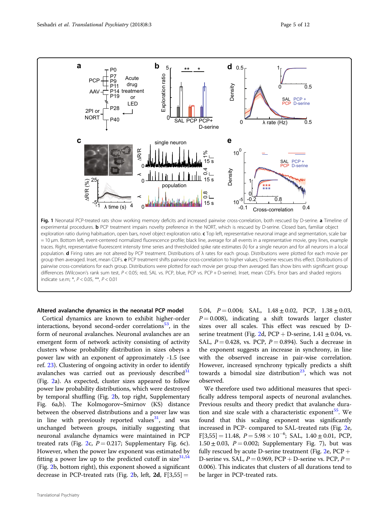<span id="page-4-0"></span>

= 10 µm. Bottom left, event-centered normalized fluorescence profile; black line, average for all events in a representative movie, grey lines, example traces. Right, representative fluorescent intensity time series and thresholded spike rate estimates (λ) for a single neuron and for all neurons in a local population. d Firing rates are not altered by PCP treatment. Distributions of λ rates for each group. Distributions were plotted for each movie per group then averaged. Inset, mean CDFs. e PCP treatment shifts pairwise cross-correlation to higher values; D-serine rescues this effect. Distributions of pairwise cross-correlations for each group. Distributions were plotted for each movie per group then averaged. Bars show bins with significant group differences (Wilcoxon's rank sum test, P < 0.05; red, SAL vs. PCP, blue, PCP vs. PCP + D-serine). Inset, mean CDFs. Error bars and shaded regions indicate s.e.m; \*, P < 0.05, \*\*, P < 0.01

#### Altered avalanche dynamics in the neonatal PCP model

Cortical dynamics are known to exhibit higher-order interactions, beyond second-order correlations $53$ , in the form of neuronal avalanches. Neuronal avalanches are an emergent form of network activity consisting of activity clusters whose probability distribution in sizes obeys a power law with an exponent of approximately -1.5 (see ref. [23](#page-10-0)). Clustering of ongoing activity in order to identify avalanches was carried out as previously described $31$ (Fig. [2a](#page-5-0)). As expected, cluster sizes appeared to follow power law probability distributions, which were destroyed by temporal shuffling (Fig. [2b](#page-5-0), top right, Supplementary Fig. 6a,b). The Kolmogorov–Smirnov (KS) distance between the observed distributions and a power law was in line with previously reported values $^{31}$  $^{31}$  $^{31}$ , and was unchanged between groups, initially suggesting that neuronal avalanche dynamics were maintained in PCP treated rats (Fig. [2c](#page-5-0),  $P = 0.217$ ; Supplementary Fig. 6c). However, when the power law exponent was estimated by fitting a power law up to the predicted cutoff in  $size^{31,54}$  $size^{31,54}$  $size^{31,54}$  $size^{31,54}$ (Fig. [2b](#page-5-0), bottom right), this exponent showed a significant decrease in PCP-treated rats (Fig. [2b](#page-5-0), left,  $2d$ , F[3,55] =

5.04,  $P = 0.004$ ; SAL,  $1.48 \pm 0.02$ , PCP,  $1.38 \pm 0.03$ ,  $P = 0.008$ ), indicating a shift towards larger cluster sizes over all scales. This effect was rescued by D-serine treatment (Fig. [2d](#page-5-0), PCP + D-serine,  $1.41 \pm 0.04$ , vs. SAL,  $P = 0.428$ , vs. PCP,  $P = 0.894$ ). Such a decrease in the exponent suggests an increase in synchrony, in line with the observed increase in pair-wise correlation. However, increased synchrony typically predicts a shift towards a bimodal size distribution<sup>23</sup>, which was not observed.

We therefore used two additional measures that specifically address temporal aspects of neuronal avalanches. Previous results and theory predict that avalanche dura-tion and size scale with a characteristic exponent<sup>[55](#page-11-0)</sup>. We found that this scaling exponent was significantly increased in PCP- compared to SAL-treated rats (Fig. [2](#page-5-0)e,  $F[3,55] = 11.48, P = 5.98 \times 10^{-6}$ ; SAL,  $1.40 \pm 0.01$ , PCP, 1.50  $\pm$  0.03,  $P = 0.002$ ; Supplementary Fig. 7), but was fully rescued by acute D-serine treatment (Fig.  $2e$  $2e$ , PCP + D-serine vs. SAL,  $P = 0.969$ , PCP + D-serine vs. PCP,  $P =$ 0.006). This indicates that clusters of all durations tend to be larger in PCP-treated rats.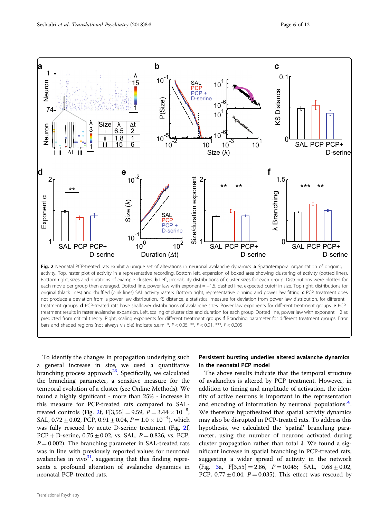<span id="page-5-0"></span>

activity. Top, raster plot of activity in a representative recording. Bottom left, expansion of boxed area showing clustering of activity (dotted lines). Bottom right, sizes and durations of example clusters. **b** Left, probability distributions of cluster sizes for each group. Distributions were plotted for each movie per group then averaged. Dotted line, power law with exponent = -1.5, dashed line, expected cutoff in size. Top right, distributions for original (black lines) and shuffled (pink lines) SAL activity rasters. Bottom right, representative binning and power law fitting. c PCP treatment does not produce a deviation from a power law distribution. KS distance, a statistical measure for deviation from power law distribution, for different treatment groups. d PCP-treated rats have shallower distributions of avalanche sizes. Power law exponents for different treatment groups. e PCP treatment results in faster avalanche expansion. Left, scaling of cluster size and duration for each group. Dotted line, power law with exponent = 2 as predicted from critical theory. Right, scaling exponents for different treatment groups. f Branching parameter for different treatment groups. Error bars and shaded regions (not always visible) indicate s.e.m; \*,  $P < 0.05$ , \*\*,  $P < 0.01$ , \*\*\*,  $P < 0.005$ 

To identify the changes in propagation underlying such a general increase in size, we used a quantitative branching process approach<sup>[23](#page-10-0)</sup>. Specifically, we calculated the branching parameter, a sensitive measure for the temporal evolution of a cluster (see Online Methods). We found a highly significant - more than 25% - increase in this measure for PCP-treated rats compared to SALtreated controls (Fig. 2f, F[3,55] = 9.59,  $P = 3.44 \times 10^{-5}$ ; SAL,  $0.72 \pm 0.02$ , PCP,  $0.91 \pm 0.04$ ,  $P = 1.0 \times 10^{-4}$ ), which was fully rescued by acute D-serine treatment (Fig. 2f,  $PCP + D\text{-}series$ ,  $0.75 \pm 0.02$ , vs. SAL,  $P = 0.826$ , vs. PCP,  $P = 0.002$ ). The branching parameter in SAL-treated rats was in line with previously reported values for neuronal avalanches in vivo $31$ , suggesting that this finding represents a profound alteration of avalanche dynamics in neonatal PCP-treated rats.

#### Persistent bursting underlies altered avalanche dynamics in the neonatal PCP model

The above results indicate that the temporal structure of avalanches is altered by PCP treatment. However, in addition to timing and amplitude of activation, the identity of active neurons is important in the representation and encoding of information by neuronal populations $56$ . We therefore hypothesized that spatial activity dynamics may also be disrupted in PCP-treated rats. To address this hypothesis, we calculated the 'spatial' branching parameter, using the number of neurons activated during cluster propagation rather than total  $\lambda$ . We found a significant increase in spatial branching in PCP-treated rats, suggesting a wider spread of activity in the network (Fig. [3](#page-6-0)a, F[3,55] = 2.86,  $P = 0.045$ ; SAL,  $0.68 \pm 0.02$ , PCP,  $0.77 \pm 0.04$ ,  $P = 0.035$ ). This effect was rescued by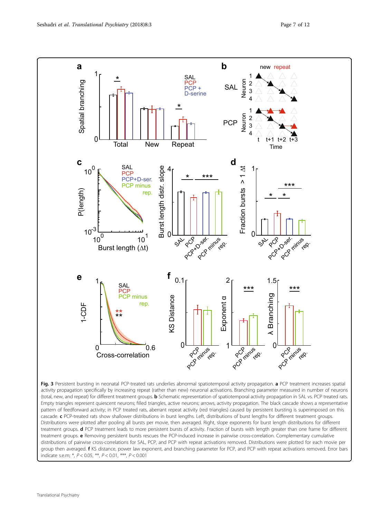<span id="page-6-0"></span>

Fig. 3 Persistent bursting in neonatal PCP-treated rats underlies abnormal spatiotemporal activity propagation. a PCP treatment increases spatial activity propagation specifically by increasing repeat (rather than new) neuronal activations. Branching parameter measured in number of neurons (total, new, and repeat) for different treatment groups. **b** Schematic representation of spatiotemporal activity propagation in SAL vs. PCP treated rats. Empty triangles represent quiescent neurons; filled triangles, active neurons; arrows, activity propagation. The black cascade shows a representative pattern of feedforward activity; in PCP treated rats, aberrant repeat activity (red triangles) caused by persistent bursting is superimposed on this cascade. c PCP-treated rats show shallower distributions in burst lengths. Left, distributions of burst lengths for different treatment groups. Distributions were plotted after pooling all bursts per movie, then averaged. Right, slope exponents for burst length distributions for different treatment groups. d PCP treatment leads to more persistent bursts of activity. Fraction of bursts with length greater than one frame for different treatment groups. e Removing persistent bursts rescues the PCP-induced increase in pairwise cross-correlation. Complementary cumulative distributions of pairwise cross-correlations for SAL, PCP, and PCP with repeat activations removed. Distributions were plotted for each movie per group then averaged. f KS distance, power law exponent, and branching parameter for PCP, and PCP with repeat activations removed. Error bars indicate s.e.m; \*, P < 0.05, \*\*, P < 0.01, \*\*\*, P < 0.001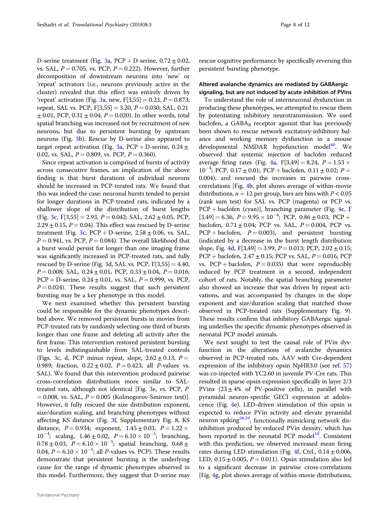D-serine treatment (Fig. [3a](#page-6-0),  $PCP + D$ -serine,  $0.72 \pm 0.02$ , vs. SAL,  $P = 0.705$ , vs. PCP,  $P = 0.222$ ). However, further decomposition of downstream neurons into 'new' or 'repeat' activators (i.e., neurons previously active in the cluster) revealed that this effect was entirely driven by 'repeat' activation (Fig. [3](#page-6-0)a, new,  $F[3,55] = 0.23$ ,  $P = 0.873$ ; repeat, SAL vs. PCP,  $F[3,55] = 3.20$ ,  $P = 0.030$ ; SAL, 0.21  $\pm$  0.01, PCP, 0.31  $\pm$  0.04, P = 0.020). In other words, total spatial branching was increased not by recruitment of new neurons, but due to persistent bursting by upstream neurons (Fig. [3b](#page-6-0)). Rescue by D-serine also appeared to target repeat activation (Fig. [3](#page-6-0)a, PCP + D-serine,  $0.24 \pm$ 0.02, vs. SAL,  $P = 0.809$ , vs. PCP,  $P = 0.360$ ).

Since repeat activation is comprised of bursts of activity across consecutive frames, an implication of the above finding is that burst durations of individual neurons should be increased in PCP-treated rats. We found that this was indeed the case: neuronal bursts tended to persist for longer durations in PCP-treated rats, indicated by a shallower slope of the distribution of burst lengths (Fig. [3c](#page-6-0),  $F[3,55] = 2.93$ ,  $P = 0.042$ ; SAL,  $2.62 \pm 0.05$ , PCP,  $2.29 \pm 0.15$ ,  $P = 0.04$ ). This effect was rescued by D-serine treatment (Fig. [3c](#page-6-0),  $PCP + D$ -serine,  $2.58 \pm 0.06$ , vs. SAL,  $P = 0.941$ , vs. PCP,  $P = 0.084$ ). The overall likelihood that a burst would persist for longer than one imaging frame was significantly increased in PCP-treated rats, and fully rescued by D-serine (Fig. [3d](#page-6-0), SAL vs. PCP,  $F[3,55] = 4.40$ ,  $P = 0.008$ ; SAL,  $0.24 \pm 0.01$ , PCP,  $0.33 \pm 0.04$ ,  $P = 0.016$ ;  $PCP + D$ -serine,  $0.24 \pm 0.01$ , vs. SAL,  $P = 0.999$ , vs. PCP,  $P = 0.024$ ). These results suggest that such persistent bursting may be a key phenotype in this model.

We next examined whether this persistent bursting could be responsible for the dynamic phenotypes described above. We removed persistent bursts in movies from PCP-treated rats by randomly selecting one third of bursts longer than one frame and deleting all activity after the first frame. This intervention restored persistent bursting to levels indistinguishable from SAL-treated controls (Figs. [3c](#page-6-0), d, PCP minus repeat, slope,  $2.62 \pm 0.13$ ,  $P =$ 0.989; fraction,  $0.22 \pm 0.02$ ,  $P = 0.423$ ; all *P*-values vs. SAL). We found that this intervention produced pairwise cross-correlation distributions more similar to SALtreated rats, although not identical [Fig. [3e](#page-6-0), vs. PCP, P  $= 0.008$ , vs. SAL,  $P = 0.005$  (Kolmogorov-Smirnov test)]. However, it fully rescued the size distribution exponent, size/duration scaling, and branching phenotypes without affecting KS distance (Fig. [3](#page-6-0)f, Supplementary Fig. 8, KS distance,  $P = 0.934$ ; exponent,  $1.45 \pm 0.03$ ,  $P = 1.22 \times$  $10^{-4}$ ; scaling,  $1.46 \pm 0.02$ ,  $P = 6.10 \times 10^{-5}$ ; branching,  $0.78 \pm 0.03$ ,  $P = 6.10 \times 10^{-5}$ ; spatial branching,  $0.68 \pm$ 0.04,  $P = 6.10 \times 10^{-5}$ ; all *P*-values vs. PCP). These results demonstrate that persistent bursting is the underlying cause for the range of dynamic phenotypes observed in this model. Furthermore, they suggest that D-serine may

Translational Psychiatry

rescue cognitive performance by specifically reversing this persistent bursting phenotype.

#### Altered avalanche dynamics are mediated by GABAergic signaling, but are not induced by acute inhibition of PVins

To understand the role of interneuronal dysfunction in producing these phenotypes, we attempted to rescue them by potentiating inhibitory neurotransmission. We used baclofen, a  $GABA_B$  receptor agonist that has previously been shown to rescue network excitatory-inhibitory balance and working memory dysfunction in a mouse developmental NMDAR hypofunction model<sup>[40](#page-11-0)</sup>. We observed that systemic injection of baclofen reduced average firing rates (Fig. [4a](#page-8-0), F[3,49] = 8.24,  $P = 1.53 \times$ 10−<sup>4</sup> ; PCP, 0.17 ± 0.01; PCP + baclofen, 0.11 ± 0.02; P = 0.004), and rescued the increases in pairwise crosscorrelations [Fig. [4b](#page-8-0), plot shows average of within-movie distributions,  $n = 12$  per group, bars are bins with  $P < 0.05$ (rank sum test) for SAL vs. PCP (magenta) or PCP vs.  $PCP +$  baclofen (cyan)], branching parameter (Fig. [4c](#page-8-0), F  $[3,49] = 6.36, P = 9.95 \times 10^{-4}$ ; PCP,  $0.86 \pm 0.03$ ; PCP + baclofen,  $0.71 \pm 0.04$ ; PCP vs. SAL,  $P = 0.004$ , PCP vs.  $PCP +$  baclofen,  $P = 0.003$ ), and persistent bursting (indicated by a decrease in the burst length distribution slope, Fig. [4](#page-8-0)d, F[3,49] = 3.99,  $P = 0.013$ ; PCP,  $2.02 \pm 0.15$ ; PCP + baclofen,  $2.47 \pm 0.15$ ; PCP vs. SAL,  $P = 0.016$ , PCP vs. PCP + baclofen,  $P = 0.035$ ) that were reproducibly induced by PCP treatment in a second, independent cohort of rats. Notably, the spatial branching parameter also showed an increase that was driven by repeat activations, and was accompanied by changes in the slope exponent and size/duration scaling that matched those observed in PCP-treated rats (Supplementary Fig. 9). These results confirm that inhibitory GABAergic signaling underlies the specific dynamic phenotypes observed in neonatal PCP model animals.

We next sought to test the causal role of PVin dysfunction in the alterations of avalanche dynamics observed in PCP-treated rats. AAV with Cre-dependent expression of the inhibitory opsin NpHR3.0 (see ref. [57](#page-11-0)) was co-injected with YC2.60 in juvenile PV-Cre rats. This resulted in sparse opsin expression specifically in layer 2/3 PVins  $(23 \pm 4\%)$  of PV-positive cells), in parallel with pyramidal neuron-specific GECI expression at adolescence (Fig. [4e](#page-8-0)). LED-driven stimulation of this opsin is expected to reduce PVin activity and elevate pyramidal neuron spiking $58,59$ , functionally mimicking network disinhibition produced by reduced PVin density, which has been reported in the neonatal PCP model<sup>[10](#page-10-0)</sup>. Consistent with this prediction, we observed increased mean firing rates during LED stimulation (Fig. [4](#page-8-0)f, Ctrl.,  $0.14 \pm 0.006$ , LED,  $0.15 \pm 0.005$ ,  $P = 0.011$ ). Opsin stimulation also led to a significant decrease in pairwise cross-correlations [Fig. [4g](#page-8-0), plot shows average of within-movie distributions,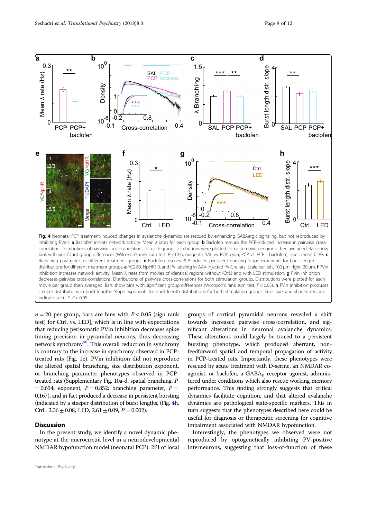<span id="page-8-0"></span>

 $n = 20$  per group, bars are bins with  $P < 0.05$  (sign rank test) for Ctrl. vs. LED], which is in line with expectations that reducing perisomatic PVin inhibition decreases spike timing precision in pyramidal neurons, thus decreasing network synchrony $60$ . This overall reduction in synchrony is contrary to the increase in synchrony observed in PCPtreated rats (Fig. [1](#page-4-0)e). PVin inhibition did not reproduce the altered spatial branching, size distribution exponent, or branching parameter phenotypes observed in PCPtreated rats (Supplementary Fig. 10a-d, spatial branching, P  $= 0.654$ ; exponent,  $P = 0.852$ ; branching parameter,  $P =$ 0.167), and in fact produced a decrease in persistent bursting (indicated by a steeper distribution of burst lengths, (Fig. 4h, Ctrl.,  $2.36 \pm 0.08$ , LED,  $2.61 \pm 0.09$ ,  $P = 0.002$ ).

#### **Discussion**

In the present study, we identify a novel dynamic phenotype at the microcircuit level in a neurodevelopmental NMDAR hypofunction model (neonatal PCP). 2PI of local

Translational Psychiatry

groups of cortical pyramidal neurons revealed a shift towards increased pairwise cross-correlation, and significant alterations in neuronal avalanche dynamics. These alterations could largely be traced to a persistent bursting phenotype, which produced aberrant, nonfeedforward spatial and temporal propagation of activity in PCP-treated rats. Importantly, these phenotypes were rescued by acute treatment with D-serine, an NMDAR coagonist, or baclofen, a GABAB receptor agonist, administered under conditions which also rescue working memory performance. This finding strongly suggests that critical dynamics facilitate cognition, and that altered avalanche dynamics are pathological state-specific markers. This in turn suggests that the phenotypes described here could be useful for diagnosis or therapeutic screening for cognitive impairment associated with NMDAR hypofunction.

Interestingly, the phenotypes we observed were not reproduced by optogenetically inhibiting PV-positive interneurons, suggesting that loss-of-function of these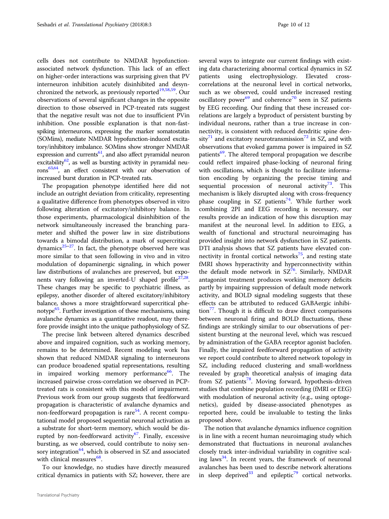cells does not contribute to NMDAR hypofunctionassociated network dysfunction. This lack of an effect on higher-order interactions was surprising given that PV interneuron inhibition acutely disinhibited and desynchronized the network, as previously reported $19,58,59$  $19,58,59$ . Our observations of several significant changes in the opposite direction to those observed in PCP-treated rats suggest that the negative result was not due to insufficient PVin inhibition. One possible explanation is that non-fastspiking interneurons, expressing the marker somatostatin (SOMins), mediate NMDAR hypofunction-induced excitatory/inhibitory imbalance. SOMins show stronger NMDAR expression and currents<sup>61</sup>, and also affect pyramidal neuron excitability $62$ , as well as bursting activity in pyramidal neu- $\text{rons}^{63,64}$ , an effect consistent with our observation of increased burst duration in PCP-treated rats.

The propagation phenotype identified here did not include an outright deviation from criticality, representing a qualitative difference from phenotypes observed in vitro following alteration of excitatory/inhibitory balance. In those experiments, pharmacological disinhibition of the network simultaneously increased the branching parameter and shifted the power law in size distributions towards a bimodal distribution, a mark of supercritical dynamics $25-27$  $25-27$  $25-27$ . In fact, the phenotype observed here was more similar to that seen following in vivo and in vitro modulation of dopaminergic signaling, in which power law distributions of avalanches are preserved, but expo-nents vary following an inverted-U shaped profile<sup>[27,28](#page-10-0)</sup>. These changes may be specific to psychiatric illness, as epilepsy, another disorder of altered excitatory/inhibitory balance, shows a more straightforward supercritical phenotype $65$ . Further investigation of these mechanisms, using avalanche dynamics as a quantitative readout, may therefore provide insight into the unique pathophysiology of SZ.

The precise link between altered dynamics described above and impaired cognition, such as working memory, remains to be determined. Recent modeling work has shown that reduced NMDAR signaling to interneurons can produce broadened spatial representations, resulting in impaired working memory performance<sup>[66](#page-11-0)</sup>. The increased pairwise cross-correlation we observed in PCPtreated rats is consistent with this model of impairment. Previous work from our group suggests that feedforward propagation is characteristic of avalanche dynamics and non-feedforward propagation is rare<sup>54</sup>. A recent computational model proposed sequential neuronal activation as a substrate for short-term memory, which would be dis-rupted by non-feedforward activity<sup>[67](#page-11-0)</sup>. Finally, excessive bursting, as we observed, could contribute to noisy sensory integration $64$ , which is observed in SZ and associated with clinical measures<sup>68</sup>.

To our knowledge, no studies have directly measured critical dynamics in patients with SZ; however, there are several ways to integrate our current findings with existing data characterizing abnormal cortical dynamics in SZ patients using electrophysiology. Elevated crosscorrelations at the neuronal level in cortical networks, such as we observed, could underlie increased resting oscillatory power $^{69}$  $^{69}$  $^{69}$  and coherence<sup>[70](#page-11-0)</sup> seen in SZ patients by EEG recording. Our finding that these increased correlations are largely a byproduct of persistent bursting by individual neurons, rather than a true increase in connectivity, is consistent with reduced dendritic spine den-sity<sup>[71](#page-11-0)</sup> and excitatory neurotransmission<sup>[72](#page-11-0)</sup> in SZ, and with observations that evoked gamma power is impaired in SZ patients<sup>[69](#page-11-0)</sup>. The altered temporal propagation we describe could reflect impaired phase-locking of neuronal firing with oscillations, which is thought to facilitate information encoding by organizing the precise timing and sequential procession of neuronal activity<sup>73</sup>. This mechanism is likely disrupted along with cross-frequency phase coupling in SZ patients<sup>[74](#page-11-0)</sup>. While further work combining 2PI and EEG recording is necessary, our results provide an indication of how this disruption may manifest at the neuronal level. In addition to EEG, a wealth of functional and structural neuroimaging has provided insight into network dysfunction in SZ patients. DTI analysis shows that SZ patients have elevated connectivity in frontal cortical networks $75$ , and resting state fMRI shows hyperactivity and hyperconnectivity within the default mode network in  $SZ^{76}$  $SZ^{76}$  $SZ^{76}$ . Similarly, NMDAR antagonist treatment produces working memory deficits partly by impairing suppression of default mode network activity, and BOLD signal modeling suggests that these effects can be attributed to reduced GABAergic inhibition $\prime\prime$ . Though it is difficult to draw direct comparisons between neuronal firing and BOLD fluctuations, these findings are strikingly similar to our observations of persistent bursting at the neuronal level, which was rescued by administration of the GABA receptor agonist baclofen. Finally, the impaired feedforward propagation of activity we report could contribute to altered network topology in SZ, including reduced clustering and small-worldness revealed by graph theoretical analysis of imaging data from SZ patients<sup>78</sup>. Moving forward, hypothesis-driven studies that combine population recording (fMRI or EEG) with modulation of neuronal activity (e.g., using optogenetics), guided by disease-associated phenotypes as reported here, could be invaluable to testing the links proposed above.

The notion that avalanche dynamics influence cognition is in line with a recent human neuroimaging study which demonstrated that fluctuations in neuronal avalanches closely track inter-individual variability in cognitive scaling laws<sup>34</sup>. In recent years, the framework of neuronal avalanches has been used to describe network alterations in sleep deprived<sup>[33](#page-10-0)</sup> and epileptic<sup>[79](#page-11-0)</sup> cortical networks.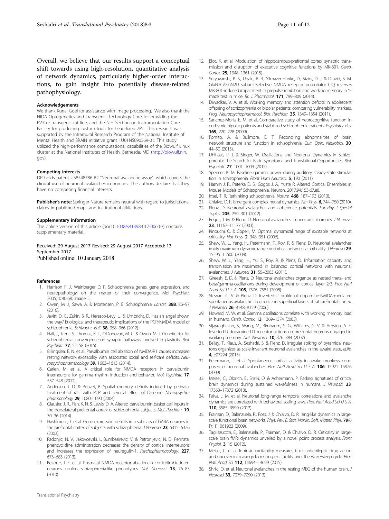<span id="page-10-0"></span>Overall, we believe that our results support a conceptual shift towards using high-resolution, quantitative analysis of network dynamics, particularly higher-order interactions, to gain insight into potentially disease-related pathophysiology.

#### Acknowledgements

We thank Kunal Goel for assistance with image processing. We also thank the NIDA Optogenetics and Transgenic Technology Core for providing the PV-Cre transgenic rat line, and the NIH Section on Instrumentation Core Facility for producing custom tools for head-fixed 2PI. This research was supported by the Intramural Research Program of the National Institute of Mental Health and BRAIN initiative grant 1U01NS090569-01. This study utilized the high-performance computational capabilities of the Biowulf Linux cluster at the National Institutes of Health, Bethesda, MD [\(http://biowulf.nih.](http://biowulf.nih.gov) [gov](http://biowulf.nih.gov)).

#### Competing interests

DP holds patent US8548786 B2 "Neuronal avalanche assay", which covers the clinical use of neuronal avalanches in humans. The authors declare that they have no competing financial interests.

Publisher's note: Springer Nature remains neutral with regard to jurisdictional claims in published maps and institutional affiliations.

#### Supplementary information

The online version of this article (doi:[10.1038/s41398-017-0060-z](http://dx.doi.org/10.1038/s41398-017-0060-z)) contains supplementary material.

Received: 29 August 2017 Revised: 29 August 2017 Accepted: 13 September 2017 Published online: 10 January 2018

#### References

- 1. Harrison P. J., Weinberger D. R. Schizophrenia genes, gene expression, and neuropathology: on the matter of their convergence. Mol Psychiatr. 2005;10:40-68; image 5.
- 2. Owen, M. J., Sawa, A. & Mortensen, P. B. Schizophrenia. Lancet. 388, 86-97 (2016).
- 3. Javitt, D. C., Zukin, S. R., Heresco-Levy, U. & Umbricht, D. Has an angel shown the way? Etiological and therapeutic implications of the PCP/NMDA model of schizophrenia. Schizophr. Bull. 38, 958-966 (2012)
- 4. Hall, J., Trent, S., Thomas, K. L., O'Donovan, M. C. & Owen, M. J. Genetic risk for schizophrenia: convergence on synaptic pathways involved in plasticity. Biol. Psychiatr. 77, 52–58 (2015).
- 5. Billingslea, E. N. et al. Parvalbumin cell ablation of NMDA-R1 causes increased resting network excitability with associated social and self-care deficits. Neuropsychopharmacology 39, 1603-1613 (2014).
- 6. Carlen, M. et al. A critical role for NMDA receptors in parvalbumin interneurons for gamma rhythm induction and behavior. Mol. Psychiatr. 17, 537–548 (2012).
- 7. Andersen, J. D. & Pouzet, B. Spatial memory deficits induced by perinatal treatment of rats with PCP and reversal effect of D-serine. Neuropsychopharmacology 29, 1080–1090 (2004).
- 8. Glausier, J. R., Fish, K. N. & Lewis, D. A. Altered parvalbumin basket cell inputs in the dorsolateral prefrontal cortex of schizophrenia subjects. Mol. Psychiatr. 19, 30–36 (2014).
- 9. Hashimoto, T. et al. Gene expression deficits in a subclass of GABA neurons in the prefrontal cortex of subjects with schizophrenia. J Neurosci. 23, 6315-6326 (2003).
- 10. Radonjic, N. V., Jakovcevski, I., Bumbasirevic, V. & Petronijevic, N. D. Perinatal phencyclidine administration decreases the density of cortical interneurons and increases the expression of neuregulin-1. Psychopharmacology. 227, 673–683 (2013).
- 11. Belforte, J. E. et al. Postnatal NMDA receptor ablation in corticolimbic interneurons confers schizophrenia-like phenotypes. Nat. Neurosci. 13, 76–83 (2010).
- 12. Blot, K. et al. Modulation of hippocampus-prefrontal cortex synaptic transmission and disruption of executive cognitive functions by MK-801. Cereb. Cortex. 25, 1348–1361 (2015).
- 13. Suryavanshi, P. S., Ugale, R. R., Yilmazer-Hanke, D., Stairs, D. J. & Dravid, S. M. GluN2C/GluN2D subunit-selective NMDA receptor potentiator CIQ reverses MK-801-induced impairment in prepulse inhibition and working memory in Ymaze test in mice. Br. J. Pharmacol. 171, 799-809 (2014).
- 14. Diwadkar, V. A. et al. Working memory and attention deficits in adolescent offspring of schizophrenia or bipolar patients: comparing vulnerability markers. Prog. Neuropsychopharmacol. Biol. Psychiatr. 35, 1349-1354 (2011).
- 15. Sanchez-Morla, E. M. et al. Comparative study of neurocognitive function in euthymic bipolar patients and stabilized schizophrenic patients. Psychiatry. Res. 169, 220–228 (2009).
- 16. Fornito, A. & Bullmore, E. T. Reconciling abnormalities of brain network structure and function in schizophrenia. Curr. Opin. Neurobiol. 30, 44–50 (2015).
- 17. Uhlhaas, P. J. & Singer, W. Oscillations and Neuronal Dynamics in Schizophrenia: The Search for Basic Symptoms and Translational Opportunities. Biol. Psychiatr. 77, 1001–1009 (2015).
- 18. Spencer, K. M. Baseline gamma power during auditory steady-state stimulation in schizophrenia. Front Hum Neurosci. 5, 190 (2011).
- 19. Hamm J. P., Peterka D. S., Gogos J. A., Yuste R. Altered Cortical Ensembles in Mouse Models of Schizophrenia. Neuron. 2017;94:153-67.e8.
- 20. Insel, T. R. Rethinking schizophrenia. Nature. 468, 187-193 (2010).
- 21. Chialvo, D. R. Emergent complex neural dynamics. Nat Phys. 6, 744-750 (2010). 22. Plenz, D. Neuronal avalanches and coherence potentials. Eur Phy J Special
- Topics. 205, 259–301 (2012). 23. Beggs, J. M. & Plenz, D. Neuronal avalanches in neocortical circuits. J Neurosci
- 23, 11167–11177 (2003).
- 24. Kinouchi, O. & Copelli, M. Optimal dynamical range of excitable networks at criticality. Nat Phys. 2, 348–351 (2006).
- 25. Shew, W. L., Yang, H., Petermann, T., Roy, R. & Plenz, D. Neuronal avalanches imply maximum dynamic range in cortical networks at criticality. J Neurosci 29, 15595–15600 (2009).
- 26. Shew, W. L., Yang, H., Yu, S., Roy, R. & Plenz, D. Information capacity and transmission are maximized in balanced cortical networks with neuronal avalanches. J Neurosci 31, 55-2063 (2011).
- 27. Gireesh, E. D. & Plenz, D. Neuronal avalanches organize as nested theta- and beta/gamma-oscillations during development of cortical layer 2/3. Proc Natl Acad Sci U S A. 105, 7576-7581 (2008).
- 28. Stewart, C. V. & Plenz, D. Inverted-U profile of dopamine-NMDA-mediated spontaneous avalanche recurrence in superficial layers of rat prefrontal cortex. J Neurosci 26, 8148-8159 (2006).
- 29. Howard, M. W. et al. Gamma oscillations correlate with working memory load in humans. Cereb. Cortex. 13, 1369–1374 (2003).
- 30. Vijayraghavan, S., Wang, M., Birnbaum, S. G., Williams, G. V. & Arnsten, A. F. Inverted-U dopamine D1 receptor actions on prefrontal neurons engaged in working memory. Nat. Neurosci. 10, 376–384 (2007).
- 31. Bellay, T., Klaus, A., Seshadri, S. & Plenz, D. Irregular spiking of pyramidal neurons organizes as scale-invariant neuronal avalanches in the awake state. eLife. 4, e07224 (2015).
- 32. Petermann, T. et al. Spontaneous cortical activity in awake monkeys composed of neuronal avalanches. Proc Natl Acad Sci U S A. 106, 15921–15926  $(2009)$
- 33. Meisel, C., Olbrich, E., Shriki, O. & Achermann, P. Fading signatures of critical brain dynamics during sustained wakefulness in humans. *J Neurosci*. **33**, 17363–17372 (2013).
- 34. Palva, J. M. et al. Neuronal long-range temporal correlations and avalanche dynamics are correlated with behavioral scaling laws. Proc Natl Acad Sci U S A. 110, 3585–3590 (2013).
- 35. Fraiman, D., Balenzuela, P., Foss, J. & Chialvo, D. R. Ising-like dynamics in largescale functional brain networks. Phys. Rev. E. Stat. Nonlin. Soft. Matter. Phys. 79(6 Pt 1), 061922 (2009).
- 36. Tagliazucchi, E., Balenzuela, P., Fraiman, D. & Chialvo, D. R. Criticality in largescale brain fMRI dynamics unveiled by a novel point process analysis. Front Physiol. 3, 15 (2012).
- 37. Meisel, C. et al. Intrinsic excitability measures track antiepileptic drug action and uncover increasing/decreasing excitability over the wake/sleep cycle. Proc Natl Acad Sci 112, 14694–14699 (2015).
- 38. Shriki, O. et al. Neuronal avalanches in the resting MEG of the human brain. J Neurosci 33, 7079–7090 (2013).